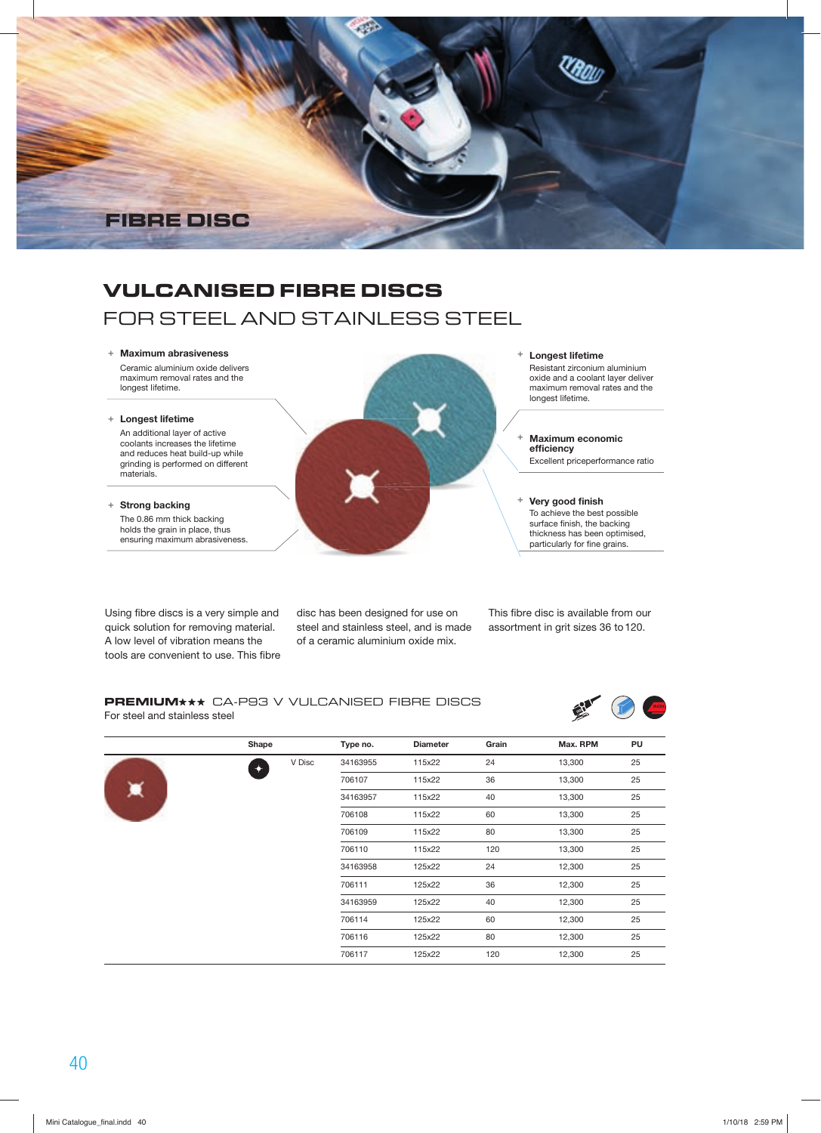

## **VULCANISED FIBRE DISCS**

# FOR STEEL AND STAINLESS STEEL

#### **+ Maximum abrasiveness**

 Ceramic aluminium oxide delivers maximum removal rates and the longest lifetime.

#### **+ Longest lifetime**

 An additional layer of active coolants increases the lifetime and reduces heat build-up while grinding is performed on different materials.

**+ Strong backing**

 The 0.86 mm thick backing holds the grain in place, thus ensuring maximum abrasiveness.

Using fibre discs is a very simple and quick solution for removing material. A low level of vibration means the tools are convenient to use. This fibre disc has been designed for use on steel and stainless steel, and is made of a ceramic aluminium oxide mix.

**+ Longest lifetime** Resistant zirconium aluminium oxide and a coolant layer deliver maximum removal rates and the longest lifetime.

**+ Maximum economic efÄciency** Excellent priceperformance ratio

**+ Very good Änish** To achieve the best possible surface finish, the backing thickness has been optimised, particularly for fine grains.

This fibre disc is available from our assortment in grit sizes 36 to 120.

#### **PREMIUM** \*\* CA-P93 V VULCANISED FIBRE DISCS For steel and stainless steel



|  | Shape |        | Type no. | <b>Diameter</b> | Grain | Max. RPM | PU |
|--|-------|--------|----------|-----------------|-------|----------|----|
|  | ◆     | V Disc | 34163955 | 115x22          | 24    | 13,300   | 25 |
|  |       |        | 706107   | 115x22          | 36    | 13,300   | 25 |
|  |       |        | 34163957 | 115x22          | 40    | 13,300   | 25 |
|  |       |        | 706108   | 115x22          | 60    | 13,300   | 25 |
|  |       |        | 706109   | 115x22          | 80    | 13,300   | 25 |
|  |       |        | 706110   | 115x22          | 120   | 13,300   | 25 |
|  |       |        | 34163958 | 125x22          | 24    | 12,300   | 25 |
|  |       |        | 706111   | 125x22          | 36    | 12,300   | 25 |
|  |       |        | 34163959 | 125x22          | 40    | 12,300   | 25 |
|  |       |        | 706114   | 125x22          | 60    | 12,300   | 25 |
|  |       |        | 706116   | 125x22          | 80    | 12,300   | 25 |
|  |       |        | 706117   | 125x22          | 120   | 12,300   | 25 |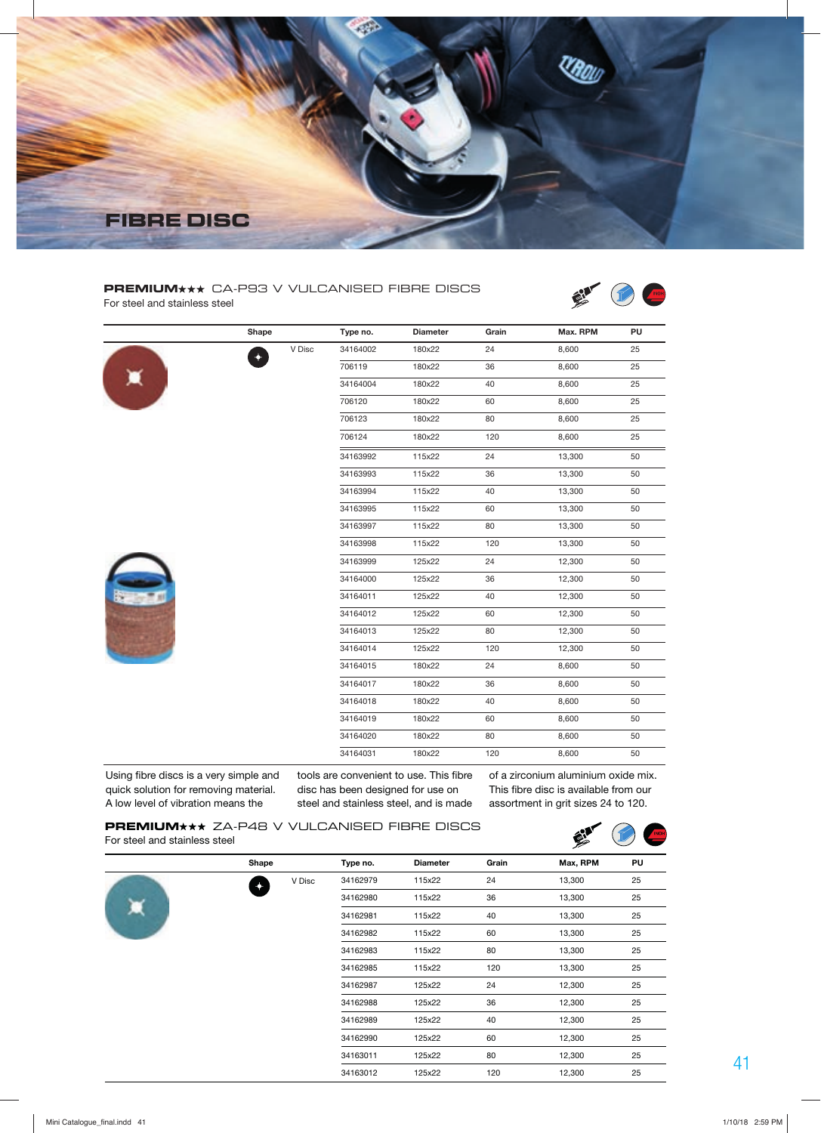

#### **PREMIUM** \*\* CA-P93 V VULCANISED FIBRE DISCS For steel and stainless steel



|   | Shape            |        | Type no. | <b>Diameter</b> | Grain | Max. RPM | PU |
|---|------------------|--------|----------|-----------------|-------|----------|----|
|   | $\ddot{\bullet}$ | V Disc | 34164002 | 180x22          | 24    | 8,600    | 25 |
|   |                  |        | 706119   | 180x22          | 36    | 8,600    | 25 |
| ☀ |                  |        | 34164004 | 180x22          | 40    | 8,600    | 25 |
|   |                  |        | 706120   | 180x22          | 60    | 8,600    | 25 |
|   |                  |        | 706123   | 180x22          | 80    | 8,600    | 25 |
|   |                  |        | 706124   | 180x22          | 120   | 8,600    | 25 |
|   |                  |        | 34163992 | 115x22          | 24    | 13,300   | 50 |
|   |                  |        | 34163993 | 115x22          | 36    | 13,300   | 50 |
|   |                  |        | 34163994 | 115x22          | 40    | 13,300   | 50 |
|   |                  |        | 34163995 | 115x22          | 60    | 13,300   | 50 |
|   |                  |        | 34163997 | 115x22          | 80    | 13,300   | 50 |
|   |                  |        | 34163998 | 115x22          | 120   | 13,300   | 50 |
|   |                  |        | 34163999 | 125x22          | 24    | 12,300   | 50 |
|   |                  |        | 34164000 | 125x22          | 36    | 12,300   | 50 |
|   |                  |        | 34164011 | 125x22          | 40    | 12,300   | 50 |
|   |                  |        | 34164012 | 125x22          | 60    | 12,300   | 50 |
|   |                  |        | 34164013 | 125x22          | 80    | 12,300   | 50 |
|   |                  |        | 34164014 | 125x22          | 120   | 12,300   | 50 |
|   |                  |        | 34164015 | 180x22          | 24    | 8,600    | 50 |
|   |                  |        | 34164017 | 180x22          | 36    | 8,600    | 50 |
|   |                  |        | 34164018 | 180x22          | 40    | 8,600    | 50 |
|   |                  |        | 34164019 | 180x22          | 60    | 8,600    | 50 |
|   |                  |        | 34164020 | 180x22          | 80    | 8,600    | 50 |
|   |                  |        | 34164031 | 180x22          | 120   | 8,600    | 50 |

Using fibre discs is a very simple and quick solution for removing material. A low level of vibration means the

tools are convenient to use. This fibre of a zirconium aluminium oxide mix. disc has been designed for use on steel and stainless steel, and is made

This fibre disc is available from our assortment in grit sizes 24 to 120.

#### **PREMIUM** \*\* ZA-P48 V VULCANISED FIBRE DISCS For steel and stainless steel



|                      |        |          |                 |       | ╱        |    |
|----------------------|--------|----------|-----------------|-------|----------|----|
| Shape                |        | Type no. | <b>Diameter</b> | Grain | Max, RPM | PU |
| $\ddot{\phantom{1}}$ | V Disc | 34162979 | 115x22          | 24    | 13,300   | 25 |
|                      |        | 34162980 | 115x22          | 36    | 13,300   | 25 |
|                      |        | 34162981 | 115x22          | 40    | 13,300   | 25 |
|                      |        | 34162982 | 115x22          | 60    | 13,300   | 25 |
|                      |        | 34162983 | 115x22          | 80    | 13,300   | 25 |
|                      |        | 34162985 | 115x22          | 120   | 13,300   | 25 |
|                      |        | 34162987 | 125x22          | 24    | 12,300   | 25 |
|                      |        | 34162988 | 125x22          | 36    | 12,300   | 25 |
|                      |        | 34162989 | 125x22          | 40    | 12,300   | 25 |
|                      |        | 34162990 | 125x22          | 60    | 12,300   | 25 |
|                      |        | 34163011 | 125x22          | 80    | 12,300   | 25 |
|                      |        | 34163012 | 125x22          | 120   | 12,300   | 25 |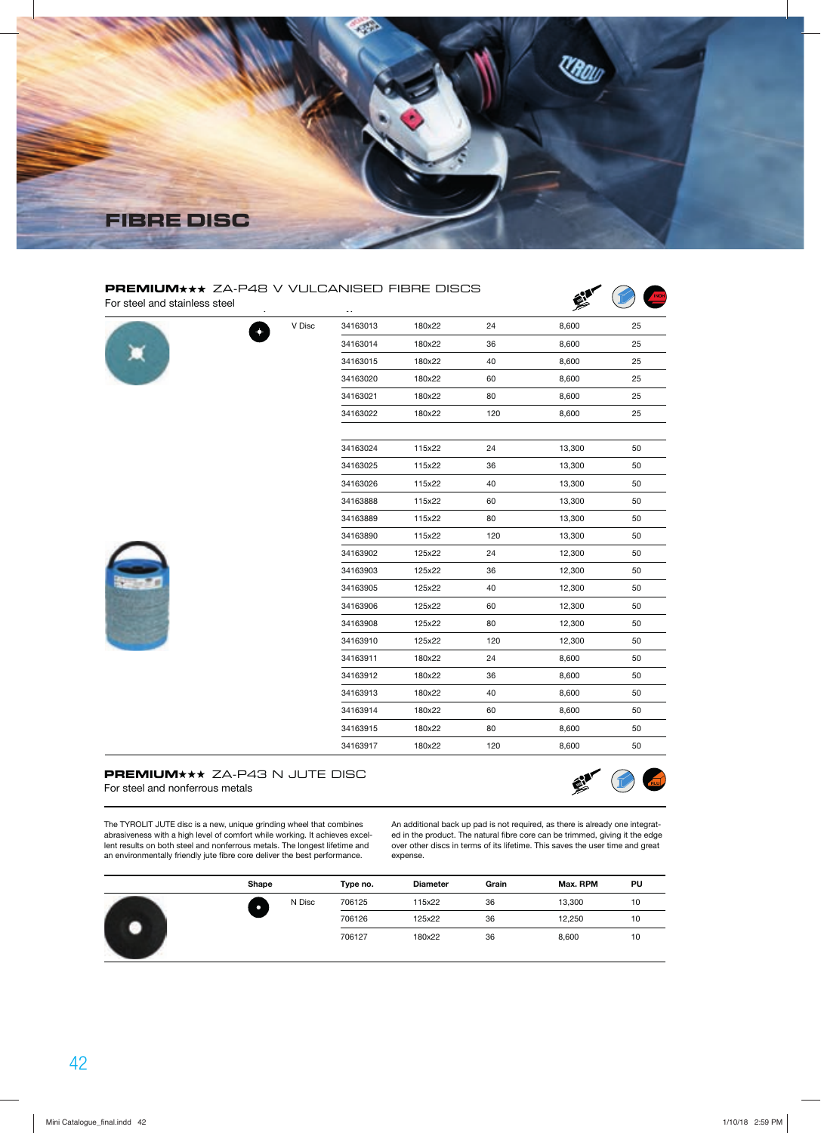

| PREMIUM*** ZA-P48 V VULCANISED FIBRE DISCS<br>For steel and stainless steel |        | $\sim$ - |        |     |        |    |
|-----------------------------------------------------------------------------|--------|----------|--------|-----|--------|----|
|                                                                             | V Disc | 34163013 | 180x22 | 24  | 8,600  | 25 |
|                                                                             |        | 34163014 | 180x22 | 36  | 8,600  | 25 |
|                                                                             |        | 34163015 | 180x22 | 40  | 8,600  | 25 |
|                                                                             |        | 34163020 | 180x22 | 60  | 8,600  | 25 |
|                                                                             |        | 34163021 | 180x22 | 80  | 8,600  | 25 |
|                                                                             |        | 34163022 | 180x22 | 120 | 8,600  | 25 |
|                                                                             |        | 34163024 | 115x22 | 24  | 13,300 | 50 |
|                                                                             |        | 34163025 | 115x22 | 36  | 13,300 | 50 |
|                                                                             |        | 34163026 | 115x22 | 40  | 13,300 | 50 |
|                                                                             |        | 34163888 | 115x22 | 60  | 13,300 | 50 |
|                                                                             |        | 34163889 | 115x22 | 80  | 13,300 | 50 |
|                                                                             |        | 34163890 | 115x22 | 120 | 13,300 | 50 |
|                                                                             |        | 34163902 | 125x22 | 24  | 12,300 | 50 |
|                                                                             |        | 34163903 | 125x22 | 36  | 12,300 | 50 |
|                                                                             |        | 34163905 | 125x22 | 40  | 12,300 | 50 |
|                                                                             |        | 34163906 | 125x22 | 60  | 12,300 | 50 |
|                                                                             |        | 34163908 | 125x22 | 80  | 12,300 | 50 |
|                                                                             |        | 34163910 | 125x22 | 120 | 12,300 | 50 |
|                                                                             |        | 34163911 | 180x22 | 24  | 8,600  | 50 |
|                                                                             |        | 34163912 | 180x22 | 36  | 8,600  | 50 |
|                                                                             |        | 34163913 | 180x22 | 40  | 8,600  | 50 |
|                                                                             |        | 34163914 | 180x22 | 60  | 8,600  | 50 |
|                                                                             |        | 34163915 | 180x22 | 80  | 8,600  | 50 |
|                                                                             |        | 34163917 | 180x22 | 120 | 8,600  | 50 |

#### **PREMIUM** \*\* ZA-P43 N JUTE DISC For steel and nonferrous metals



The TYROLIT JUTE disc is a new, unique grinding wheel that combines abrasiveness with a high level of comfort while working. It achieves excellent results on both steel and nonferrous metals. The longest lifetime and an environmentally friendly jute fibre core deliver the best performance.

An additional back up pad is not required, as there is already one integrated in the product. The natural fibre core can be trimmed, giving it the edge over other discs in terms of its lifetime. This saves the user time and great expense.

|  | Shape  | Type no. | <b>Diameter</b> | Grain | Max. RPM | PU |
|--|--------|----------|-----------------|-------|----------|----|
|  | N Disc | 706125   | 115x22          | 36    | 13,300   | 10 |
|  |        | 706126   | 125x22          | 36    | 12,250   | 10 |
|  |        | 706127   | 180x22          | 36    | 8,600    | 10 |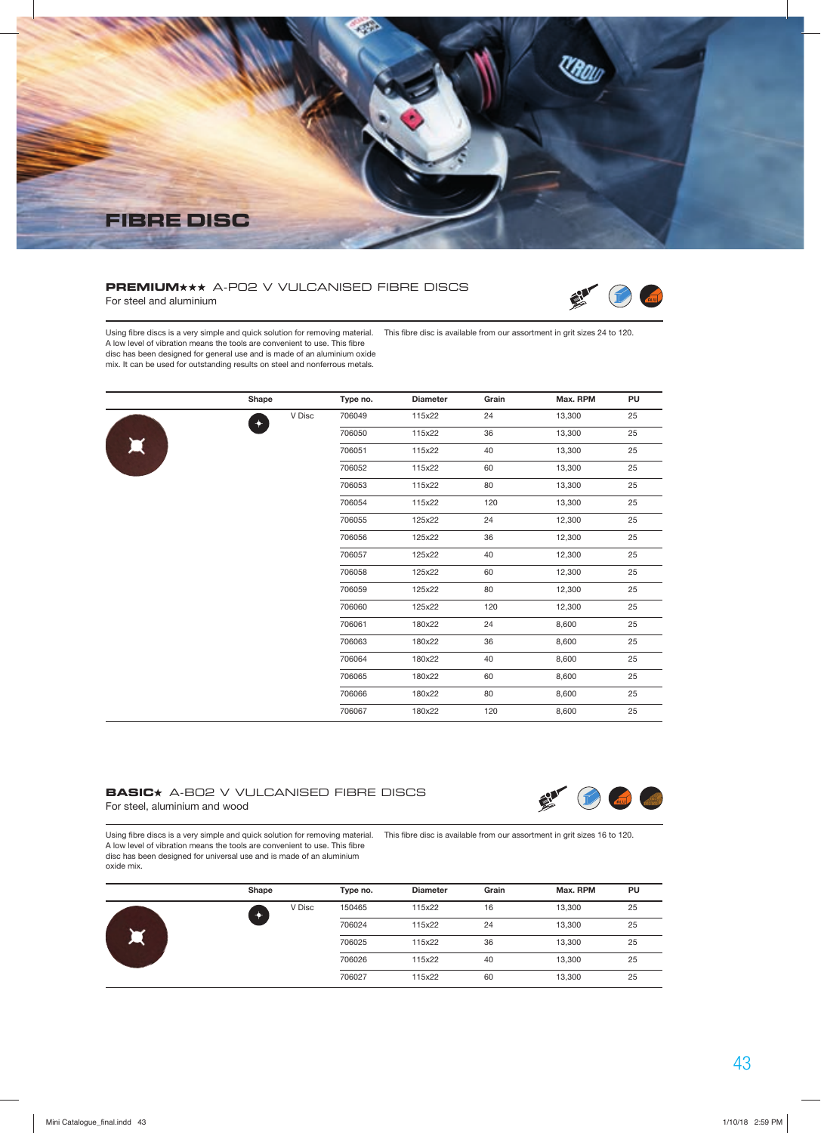

#### **PREMIUM** \*\* A-PO2 V VULCANISED FIBRE DISCS For steel and aluminium



Using fibre discs is a very simple and quick solution for removing material. This fibre disc is available from our assortment in grit sizes 24 to 120. A low level of vibration means the tools are convenient to use. This fibre disc has been designed for general use and is made of an aluminium oxide

mix. It can be used for outstanding results on steel and nonferrous metals.

|                       | Shape       |        | Type no. | <b>Diameter</b> | Grain | Max. RPM | PU |
|-----------------------|-------------|--------|----------|-----------------|-------|----------|----|
|                       | $\ddotmark$ | V Disc | 706049   | 115x22          | 24    | 13,300   | 25 |
|                       |             |        | 706050   | 115x22          | 36    | 13,300   | 25 |
| $\blacktriangleright$ |             |        | 706051   | 115x22          | 40    | 13,300   | 25 |
|                       |             |        | 706052   | 115x22          | 60    | 13,300   | 25 |
|                       |             |        | 706053   | 115x22          | 80    | 13,300   | 25 |
|                       |             |        | 706054   | 115x22          | 120   | 13,300   | 25 |
|                       |             |        | 706055   | 125x22          | 24    | 12,300   | 25 |
|                       |             |        | 706056   | 125x22          | 36    | 12,300   | 25 |
|                       |             |        | 706057   | 125x22          | 40    | 12,300   | 25 |
|                       |             |        | 706058   | 125x22          | 60    | 12,300   | 25 |
|                       |             |        | 706059   | 125x22          | 80    | 12,300   | 25 |
|                       |             |        | 706060   | 125x22          | 120   | 12,300   | 25 |
|                       |             |        | 706061   | 180x22          | 24    | 8,600    | 25 |
|                       |             |        | 706063   | 180x22          | 36    | 8,600    | 25 |
|                       |             |        | 706064   | 180x22          | 40    | 8,600    | 25 |
|                       |             |        | 706065   | 180x22          | 60    | 8,600    | 25 |
|                       |             |        | 706066   | 180x22          | 80    | 8,600    | 25 |
|                       |             |        | 706067   | 180x22          | 120   | 8,600    | 25 |

#### **BASIC** A-B02 V VULCANISED FIBRE DISCS For steel, aluminium and wood



Using fibre discs is a very simple and quick solution for removing material. This fibre disc is available from our assortment in grit sizes 16 to 120. A low level of vibration means the tools are convenient to use. This fibre disc has been designed for universal use and is made of an aluminium oxide mix.

|   | Shape  | Type no. | <b>Diameter</b> | Grain | Max. RPM | PU |
|---|--------|----------|-----------------|-------|----------|----|
|   | V Disc | 150465   | 115x22          | 16    | 13,300   | 25 |
|   |        | 706024   | 115x22          | 24    | 13,300   | 25 |
| щ |        | 706025   | 115x22          | 36    | 13,300   | 25 |
|   |        | 706026   | 115x22          | 40    | 13,300   | 25 |
|   |        | 706027   | 115x22          | 60    | 13,300   | 25 |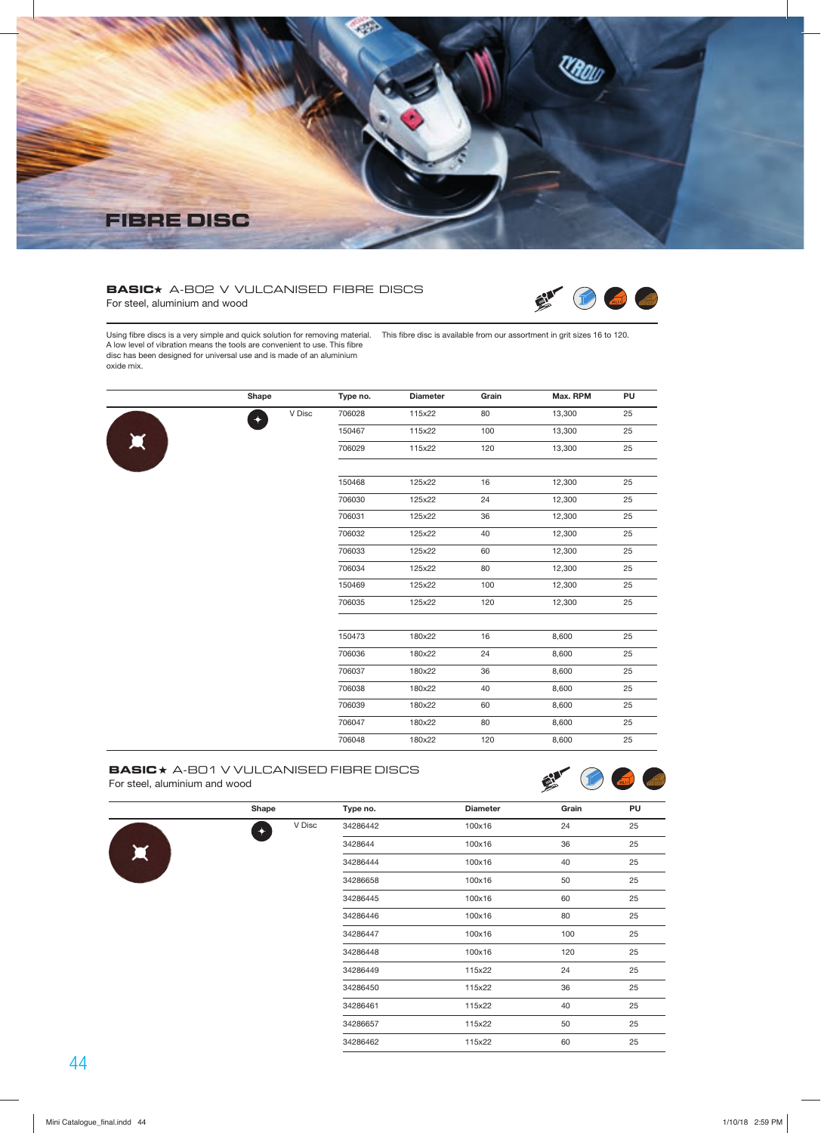

## **BASIC** A-B02 V VULCANISED FIBRE DISCS



For steel, aluminium and wood

Using fibre discs is a very simple and quick solution for removing material. This fibre disc is available from our assortment in grit sizes 16 to 120. A low level of vibration means the tools are convenient to use. This fibre disc has been designed for universal use and is made of an aluminium oxide mix.

|                       | Shape                |        | Type no. | <b>Diameter</b> | Grain | Max. RPM | PU |
|-----------------------|----------------------|--------|----------|-----------------|-------|----------|----|
|                       | $\ddot{\phantom{1}}$ | V Disc | 706028   | 115x22          | 80    | 13,300   | 25 |
|                       |                      |        | 150467   | 115x22          | 100   | 13,300   | 25 |
| $\blacktriangleright$ |                      |        | 706029   | 115x22          | 120   | 13,300   | 25 |
|                       |                      |        | 150468   | 125x22          | 16    | 12,300   | 25 |
|                       |                      |        | 706030   | 125x22          | 24    | 12,300   | 25 |
|                       |                      |        | 706031   | 125x22          | 36    | 12,300   | 25 |
|                       |                      |        | 706032   | 125x22          | 40    | 12,300   | 25 |
|                       |                      |        | 706033   | 125x22          | 60    | 12,300   | 25 |
|                       |                      |        | 706034   | 125x22          | 80    | 12,300   | 25 |
|                       |                      |        | 150469   | 125x22          | 100   | 12,300   | 25 |
|                       |                      |        | 706035   | 125x22          | 120   | 12,300   | 25 |
|                       |                      |        | 150473   | 180x22          | 16    | 8,600    | 25 |
|                       |                      |        | 706036   | 180x22          | 24    | 8,600    | 25 |
|                       |                      |        | 706037   | 180x22          | 36    | 8,600    | 25 |
|                       |                      |        | 706038   | 180x22          | 40    | 8,600    | 25 |
|                       |                      |        | 706039   | 180x22          | 60    | 8,600    | 25 |
|                       |                      |        | 706047   | 180x22          | 80    | 8,600    | 25 |
|                       |                      |        | 706048   | 180x22          | 120   | 8,600    | 25 |

#### **BASIC** A-B01 V VULCANISED FIBRE DISCS For steel, aluminium and wood



|                       | Shape                   | Type no. | <b>Diameter</b> | Grain | PU |
|-----------------------|-------------------------|----------|-----------------|-------|----|
|                       | V Disc<br>$\rightarrow$ | 34286442 | 100x16          | 24    | 25 |
|                       |                         | 3428644  | 100x16          | 36    | 25 |
| $\blacktriangleright$ |                         | 34286444 | 100x16          | 40    | 25 |
|                       |                         | 34286658 | 100x16          | 50    | 25 |
|                       |                         | 34286445 | 100x16          | 60    | 25 |
|                       |                         | 34286446 | 100x16          | 80    | 25 |
|                       |                         | 34286447 | 100x16          | 100   | 25 |
|                       |                         | 34286448 | 100x16          | 120   | 25 |
|                       |                         | 34286449 | 115x22          | 24    | 25 |
|                       |                         | 34286450 | 115x22          | 36    | 25 |
|                       |                         | 34286461 | 115x22          | 40    | 25 |
|                       |                         | 34286657 | 115x22          | 50    | 25 |
|                       |                         | 34286462 | 115x22          | 60    | 25 |